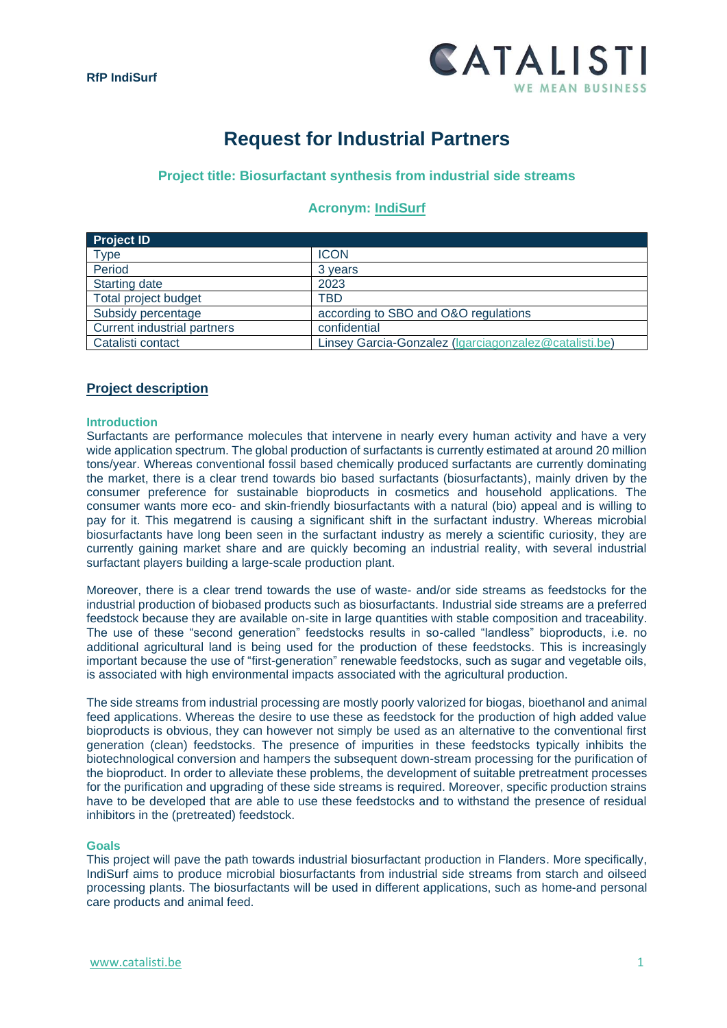

# **Request for Industrial Partners**

## **Project title: Biosurfactant synthesis from industrial side streams**

## **Acronym: IndiSurf**

| <b>Project ID</b>                  |                                                       |
|------------------------------------|-------------------------------------------------------|
| Type                               | <b>ICON</b>                                           |
| Period                             | 3 years                                               |
| <b>Starting date</b>               | 2023                                                  |
| <b>Total project budget</b>        | <b>TBD</b>                                            |
| Subsidy percentage                 | according to SBO and O&O regulations                  |
| <b>Current industrial partners</b> | confidential                                          |
| Catalisti contact                  | Linsey Garcia-Gonzalez (Igarciagonzalez@catalisti.be) |

## **Project description**

## **Introduction**

Surfactants are performance molecules that intervene in nearly every human activity and have a very wide application spectrum. The global production of surfactants is currently estimated at around 20 million tons/year. Whereas conventional fossil based chemically produced surfactants are currently dominating the market, there is a clear trend towards bio based surfactants (biosurfactants), mainly driven by the consumer preference for sustainable bioproducts in cosmetics and household applications. The consumer wants more eco- and skin-friendly biosurfactants with a natural (bio) appeal and is willing to pay for it. This megatrend is causing a significant shift in the surfactant industry. Whereas microbial biosurfactants have long been seen in the surfactant industry as merely a scientific curiosity, they are currently gaining market share and are quickly becoming an industrial reality, with several industrial surfactant players building a large-scale production plant.

Moreover, there is a clear trend towards the use of waste- and/or side streams as feedstocks for the industrial production of biobased products such as biosurfactants. Industrial side streams are a preferred feedstock because they are available on-site in large quantities with stable composition and traceability. The use of these "second generation" feedstocks results in so-called "landless" bioproducts, i.e. no additional agricultural land is being used for the production of these feedstocks. This is increasingly important because the use of "first-generation" renewable feedstocks, such as sugar and vegetable oils, is associated with high environmental impacts associated with the agricultural production.

The side streams from industrial processing are mostly poorly valorized for biogas, bioethanol and animal feed applications. Whereas the desire to use these as feedstock for the production of high added value bioproducts is obvious, they can however not simply be used as an alternative to the conventional first generation (clean) feedstocks. The presence of impurities in these feedstocks typically inhibits the biotechnological conversion and hampers the subsequent down-stream processing for the purification of the bioproduct. In order to alleviate these problems, the development of suitable pretreatment processes for the purification and upgrading of these side streams is required. Moreover, specific production strains have to be developed that are able to use these feedstocks and to withstand the presence of residual inhibitors in the (pretreated) feedstock.

#### **Goals**

This project will pave the path towards industrial biosurfactant production in Flanders. More specifically, IndiSurf aims to produce microbial biosurfactants from industrial side streams from starch and oilseed processing plants. The biosurfactants will be used in different applications, such as home-and personal care products and animal feed.